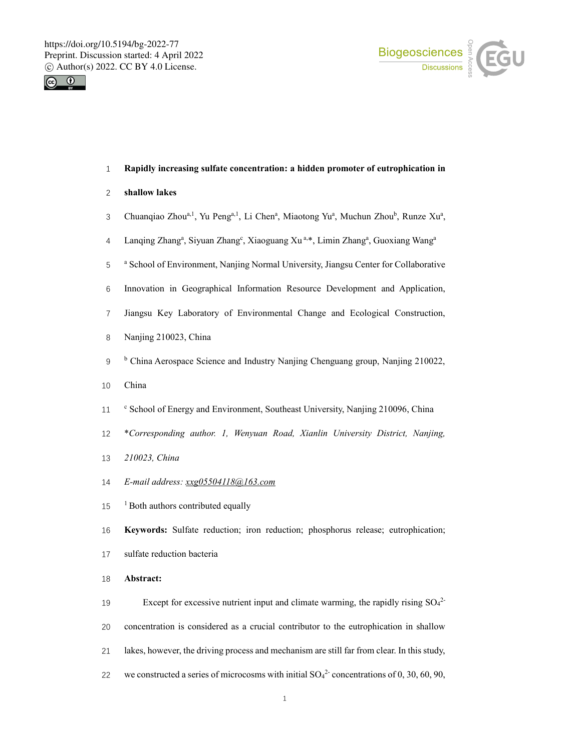



# **Rapidly increasing sulfate concentration: a hidden promoter of eutrophication in**

## **shallow lakes**

- 3 Chuanqiao Zhou<sup>a, 1</sup>, Yu Peng<sup>a, 1</sup>, Li Chen<sup>a</sup>, Miaotong Yu<sup>a</sup>, Muchun Zhou<sup>b</sup>, Runze Xu<sup>a</sup>,
- 4 Lanqing Zhang<sup>a</sup>, Siyuan Zhang<sup>e</sup>, Xiaoguang Xu<sup>a,\*</sup>, Limin Zhang<sup>a</sup>, Guoxiang Wang<sup>a</sup>
- <sup>a</sup> School of Environment, Nanjing Normal University, Jiangsu Center for Collaborative
- Innovation in Geographical Information Resource Development and Application,
- Jiangsu Key Laboratory of Environmental Change and Ecological Construction,
- Nanjing 210023, China
- <sup>b</sup> China Aerospace Science and Industry Nanjing Chenguang group, Nanjing 210022,
- China
- <sup>c</sup> School of Energy and Environment, Southeast University, Nanjing 210096, China
- \**Corresponding author. 1, Wenyuan Road, Xianlin University District, Nanjing,*
- *210023, China*
- *E-mail address: xxg05504118@163.com*
- <sup>1</sup> Both authors contributed equally
- **Keywords:** Sulfate reduction; iron reduction; phosphorus release; eutrophication;
- sulfate reduction bacteria
- **Abstract:**
- 19 Except for excessive nutrient input and climate warming, the rapidly rising  $SO_4^2$  concentration is considered as a crucial contributor to the eutrophication in shallow lakes, however, the driving process and mechanism are still far from clear. In this study, 22 we constructed a series of microcosms with initial  $SO_4^2$  concentrations of 0, 30, 60, 90,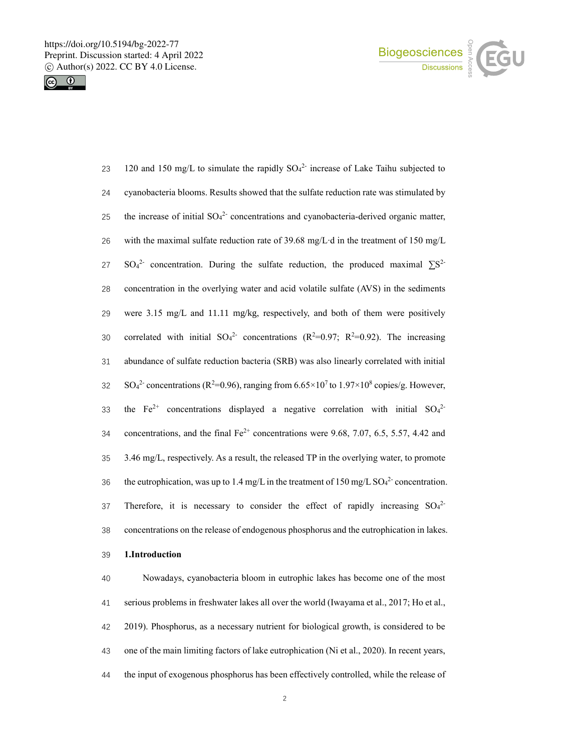



23 120 and 150 mg/L to simulate the rapidly  $SO_4^2$  increase of Lake Taihu subjected to 24 cyanobacteria blooms. Results showed that the sulfate reduction rate was stimulated by 25 the increase of initial  $SO_4^2$  concentrations and cyanobacteria-derived organic matter, 26 with the maximal sulfate reduction rate of 39.68 mg/L∙d in the treatment of 150 mg/L 27 SO<sub>4</sub><sup>2</sup> concentration. During the sulfate reduction, the produced maximal  $\Sigma S^2$ 28 concentration in the overlying water and acid volatile sulfate (AVS) in the sediments 29 were 3.15 mg/L and 11.11 mg/kg, respectively, and both of them were positively 30 correlated with initial  $SO_4^2$  concentrations (R<sup>2</sup>=0.97; R<sup>2</sup>=0.92). The increasing 31 abundance of sulfate reduction bacteria (SRB) was also linearly correlated with initial  $SO_4^2$ - concentrations (R<sup>2</sup>=0.96), ranging from 6.65×10<sup>7</sup> to 1.97×10<sup>8</sup> copies/g. However, 33 the Fe<sup>2+</sup> concentrations displayed a negative correlation with initial  $SO_4^2$ 34 concentrations, and the final  $Fe^{2+}$  concentrations were 9.68, 7.07, 6.5, 5.57, 4.42 and 35 3.46 mg/L, respectively. As a result, the released TP in the overlying water, to promote 36 the eutrophication, was up to 1.4 mg/L in the treatment of 150 mg/L  $SO_4^2$  concentration. 37 Therefore, it is necessary to consider the effect of rapidly increasing  $SO_4^2$ 38 concentrations on the release of endogenous phosphorus and the eutrophication in lakes.

## 39 **1.Introduction**

 Nowadays, cyanobacteria bloom in eutrophic lakes has become one of the most serious problems in freshwater lakes all over the world (Iwayama et al., 2017; Ho et al., 2019). Phosphorus, as a necessary nutrient for biological growth, is considered to be one of the main limiting factors of lake eutrophication (Ni et al., 2020). In recent years, the input of exogenous phosphorus has been effectively controlled, while the release of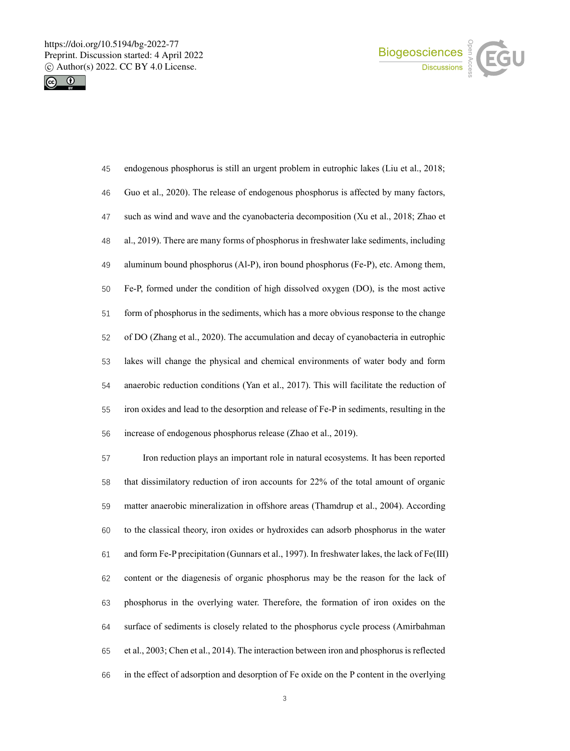



| 45 | endogenous phosphorus is still an urgent problem in eutrophic lakes (Liu et al., 2018;    |
|----|-------------------------------------------------------------------------------------------|
| 46 | Guo et al., 2020). The release of endogenous phosphorus is affected by many factors,      |
| 47 | such as wind and wave and the cyanobacteria decomposition (Xu et al., 2018; Zhao et       |
| 48 | al., 2019). There are many forms of phosphorus in freshwater lake sediments, including    |
| 49 | aluminum bound phosphorus (Al-P), iron bound phosphorus (Fe-P), etc. Among them,          |
| 50 | Fe-P, formed under the condition of high dissolved oxygen (DO), is the most active        |
| 51 | form of phosphorus in the sediments, which has a more obvious response to the change      |
| 52 | of DO (Zhang et al., 2020). The accumulation and decay of cyanobacteria in eutrophic      |
| 53 | lakes will change the physical and chemical environments of water body and form           |
| 54 | anaerobic reduction conditions (Yan et al., 2017). This will facilitate the reduction of  |
| 55 | iron oxides and lead to the desorption and release of Fe-P in sediments, resulting in the |
| 56 | increase of endogenous phosphorus release (Zhao et al., 2019).                            |

 Iron reduction plays an important role in natural ecosystems. It has been reported that dissimilatory reduction of iron accounts for 22% of the total amount of organic matter anaerobic mineralization in offshore areas (Thamdrup et al., 2004). According to the classical theory, iron oxides or hydroxides can adsorb phosphorus in the water and form Fe-P precipitation (Gunnars et al., 1997). In freshwater lakes, the lack of Fe(Ⅲ) content or the diagenesis of organic phosphorus may be the reason for the lack of phosphorus in the overlying water. Therefore, the formation of iron oxides on the surface of sediments is closely related to the phosphorus cycle process (Amirbahman et al., 2003; Chen et al., 2014). The interaction between iron and phosphorus is reflected in the effect of adsorption and desorption of Fe oxide on the P content in the overlying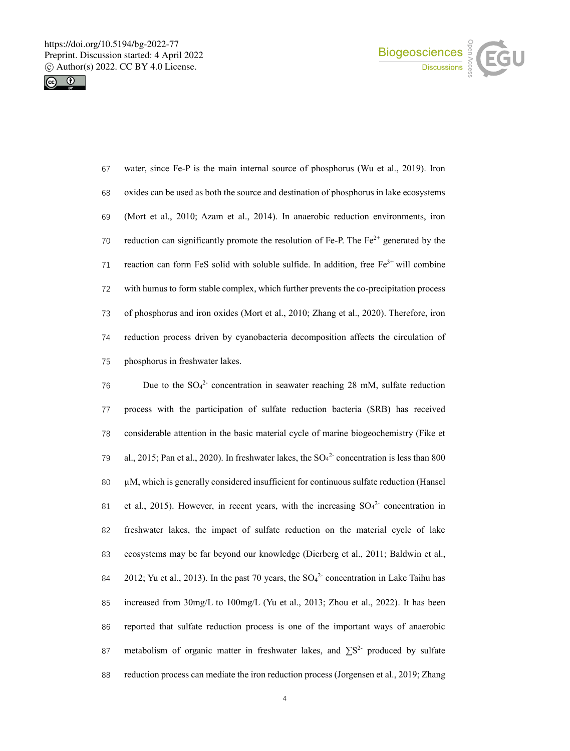



 water, since Fe-P is the main internal source of phosphorus (Wu et al., 2019). Iron oxides can be used as both the source and destination of phosphorus in lake ecosystems (Mort et al., 2010; Azam et al., 2014). In anaerobic reduction environments, iron 70 reduction can significantly promote the resolution of Fe-P. The  $Fe<sup>2+</sup>$  generated by the 71 reaction can form FeS solid with soluble sulfide. In addition, free  $Fe<sup>3+</sup>$  will combine with humus to form stable complex, which further prevents the co-precipitation process of phosphorus and iron oxides (Mort et al., 2010; Zhang et al., 2020). Therefore, iron reduction process driven by cyanobacteria decomposition affects the circulation of phosphorus in freshwater lakes.

76 Due to the  $SO_4^2$  concentration in seawater reaching 28 mM, sulfate reduction process with the participation of sulfate reduction bacteria (SRB) has received considerable attention in the basic material cycle of marine biogeochemistry (Fike et 79 al., 2015; Pan et al., 2020). In freshwater lakes, the  $SO_4^2$  concentration is less than 800 µM, which is generally considered insufficient for continuous sulfate reduction (Hansel 81 et al., 2015). However, in recent years, with the increasing  $SO_4^2$  concentration in freshwater lakes, the impact of sulfate reduction on the material cycle of lake ecosystems may be far beyond our knowledge (Dierberg et al., 2011; Baldwin et al., 84 2012; Yu et al., 2013). In the past 70 years, the  $SO<sub>4</sub><sup>2</sup>$  concentration in Lake Taihu has increased from 30mg/L to 100mg/L (Yu et al., 2013; Zhou et al., 2022). It has been reported that sulfate reduction process is one of the important ways of anaerobic 87 metabolism of organic matter in freshwater lakes, and  $\sum S^{2}$  produced by sulfate reduction process can mediate the iron reduction process (Jorgensen et al., 2019; Zhang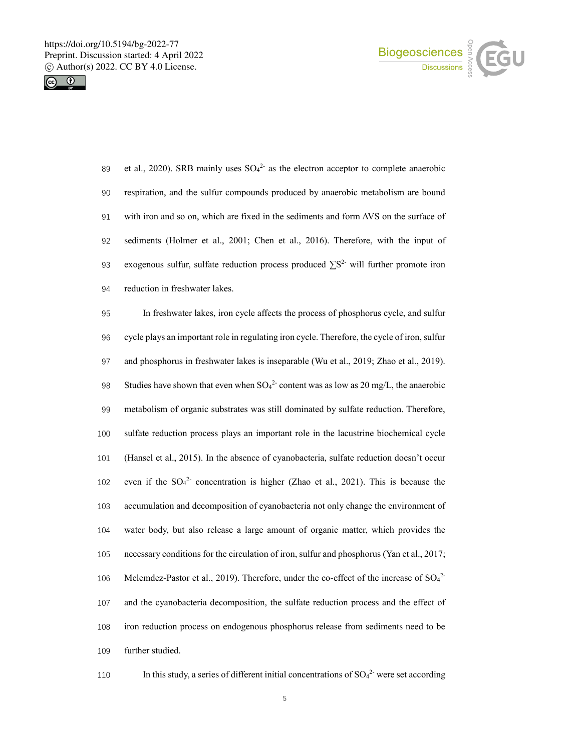



89 et al., 2020). SRB mainly uses  $SO_4^2$  as the electron acceptor to complete anaerobic respiration, and the sulfur compounds produced by anaerobic metabolism are bound with iron and so on, which are fixed in the sediments and form AVS on the surface of sediments (Holmer et al., 2001; Chen et al., 2016). Therefore, with the input of 93 exogenous sulfur, sulfate reduction process produced  $\sum S^2$  will further promote iron reduction in freshwater lakes.

 In freshwater lakes, iron cycle affects the process of phosphorus cycle, and sulfur cycle plays an important role in regulating iron cycle. Therefore, the cycle of iron, sulfur and phosphorus in freshwater lakes is inseparable (Wu et al., 2019; Zhao et al., 2019). 98 Studies have shown that even when  $SO_4^2$  content was as low as 20 mg/L, the anaerobic metabolism of organic substrates was still dominated by sulfate reduction. Therefore, sulfate reduction process plays an important role in the lacustrine biochemical cycle (Hansel et al., 2015). In the absence of cyanobacteria, sulfate reduction doesn't occur 102 even if the  $SO_4^2$  concentration is higher (Zhao et al., 2021). This is because the accumulation and decomposition of cyanobacteria not only change the environment of water body, but also release a large amount of organic matter, which provides the necessary conditions for the circulation of iron, sulfur and phosphorus (Yan et al., 2017; 106 Melemdez-Pastor et al., 2019). Therefore, under the co-effect of the increase of  $SO_4^2$  and the cyanobacteria decomposition, the sulfate reduction process and the effect of iron reduction process on endogenous phosphorus release from sediments need to be further studied.

110 In this study, a series of different initial concentrations of  $SO_4^2$  were set according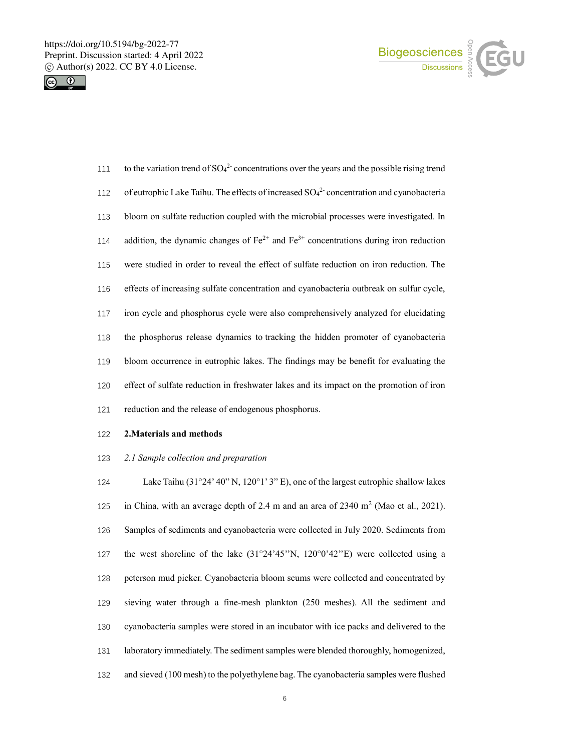



| 111 | to the variation trend of $SO42$ concentrations over the years and the possible rising trend  |
|-----|-----------------------------------------------------------------------------------------------|
| 112 | of eutrophic Lake Taihu. The effects of increased $SO_4^2$ concentration and cyanobacteria    |
| 113 | bloom on sulfate reduction coupled with the microbial processes were investigated. In         |
| 114 | addition, the dynamic changes of $Fe^{2+}$ and $Fe^{3+}$ concentrations during iron reduction |
| 115 | were studied in order to reveal the effect of sulfate reduction on iron reduction. The        |
| 116 | effects of increasing sulfate concentration and cyanobacteria outbreak on sulfur cycle,       |
| 117 | iron cycle and phosphorus cycle were also comprehensively analyzed for elucidating            |
| 118 | the phosphorus release dynamics to tracking the hidden promoter of cyanobacteria              |
| 119 | bloom occurrence in eutrophic lakes. The findings may be benefit for evaluating the           |
| 120 | effect of sulfate reduction in freshwater lakes and its impact on the promotion of iron       |
| 121 | reduction and the release of endogenous phosphorus.                                           |

# **2.Materials and methods**

## *2.1 Sample collection and preparation*

 Lake Taihu (31°24' 40" N, 120°1' 3" E), one of the largest eutrophic shallow lakes 125 in China, with an average depth of 2.4 m and an area of  $2340 \text{ m}^2$  (Mao et al., 2021). Samples of sediments and cyanobacteria were collected in July 2020. Sediments from the west shoreline of the lake (31°24'45''N, 120°0'42''E) were collected using a peterson mud picker. Cyanobacteria bloom scums were collected and concentrated by sieving water through a fine-mesh plankton (250 meshes). All the sediment and cyanobacteria samples were stored in an incubator with ice packs and delivered to the laboratory immediately. The sediment samples were blended thoroughly, homogenized, and sieved (100 mesh) to the polyethylene bag. The cyanobacteria samples were flushed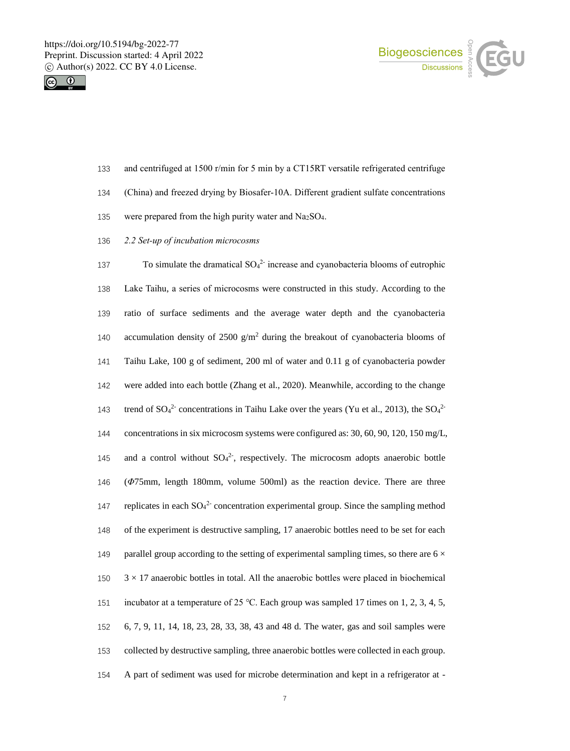



- 133 and centrifuged at 1500 r/min for 5 min by a CT15RT versatile refrigerated centrifuge
- 134 (China) and freezed drying by Biosafer-10A. Different gradient sulfate concentrations
- 135 were prepared from the high purity water and  $Na<sub>2</sub>SO<sub>4</sub>$ .
- 136 *2.2 Set-up of incubation microcosms*

137 To simulate the dramatical  $SO_4^2$  increase and cyanobacteria blooms of eutrophic Lake Taihu, a series of microcosms were constructed in this study. According to the ratio of surface sediments and the average water depth and the cyanobacteria 140 accumulation density of 2500  $g/m^2$  during the breakout of cyanobacteria blooms of Taihu Lake, 100 g of sediment, 200 ml of water and 0.11 g of cyanobacteria powder were added into each bottle (Zhang et al., 2020). Meanwhile, according to the change 143 trend of  $SO_4^2$  concentrations in Taihu Lake over the years (Yu et al., 2013), the  $SO_4^2$  concentrations in six microcosm systems were configured as: 30, 60, 90, 120, 150 mg/L, 145 and a control without  $SO_4^2$ , respectively. The microcosm adopts anaerobic bottle (*Φ*75mm, length 180mm, volume 500ml) as the reaction device. There are three 147 replicates in each  $SO_4^2$  concentration experimental group. Since the sampling method of the experiment is destructive sampling, 17 anaerobic bottles need to be set for each 149 parallel group according to the setting of experimental sampling times, so there are  $6 \times$  $150 \times 3 \times 17$  anaerobic bottles in total. All the anaerobic bottles were placed in biochemical incubator at a temperature of 25 ℃. Each group was sampled 17 times on 1, 2, 3, 4, 5, 6, 7, 9, 11, 14, 18, 23, 28, 33, 38, 43 and 48 d. The water, gas and soil samples were collected by destructive sampling, three anaerobic bottles were collected in each group. A part of sediment was used for microbe determination and kept in a refrigerator at -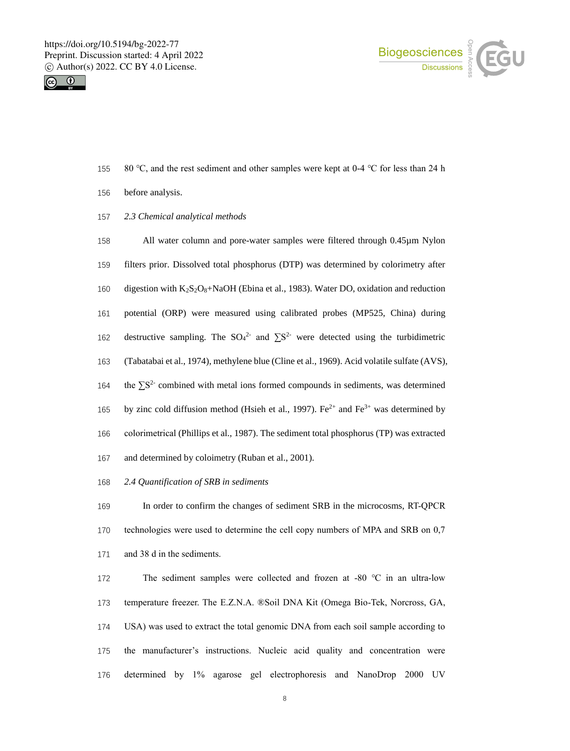



- 155 80 °C, and the rest sediment and other samples were kept at 0-4 °C for less than 24 h
- before analysis.
- *2.3 Chemical analytical methods*

158 All water column and pore-water samples were filtered through 0.45  $\mu$ m Nylon filters prior. Dissolved total phosphorus (DTP) was determined by colorimetry after 160 digestion with K<sub>2</sub>S<sub>2</sub>O<sub>8</sub>+NaOH (Ebina et al., 1983). Water DO, oxidation and reduction potential (ORP) were measured using calibrated probes (MP525, China) during 162 destructive sampling. The  $SO_4^2$  and  $\Sigma S^2$  were detected using the turbidimetric (Tabatabai et al., 1974), methylene blue (Cline et al., 1969). Acid volatile sulfate (AVS), 164 the  $\sum S^2$  combined with metal ions formed compounds in sediments, was determined 165 by zinc cold diffusion method (Hsieh et al., 1997). Fe<sup>2+</sup> and Fe<sup>3+</sup> was determined by colorimetrical (Phillips et al., 1987). The sediment total phosphorus (TP) was extracted and determined by coloimetry (Ruban et al., 2001).

*2.4 Quantification of SRB in sediments*

 In order to confirm the changes of sediment SRB in the microcosms, RT-QPCR technologies were used to determine the cell copy numbers of MPA and SRB on 0,7 and 38 d in the sediments.

 The sediment samples were collected and frozen at -80 ℃ in an ultra-low temperature freezer. The E.Z.N.A. ®Soil DNA Kit (Omega Bio-Tek, Norcross, GA, USA) was used to extract the total genomic DNA from each soil sample according to the manufacturer's instructions. Nucleic acid quality and concentration were determined by 1% agarose gel electrophoresis and NanoDrop 2000 UV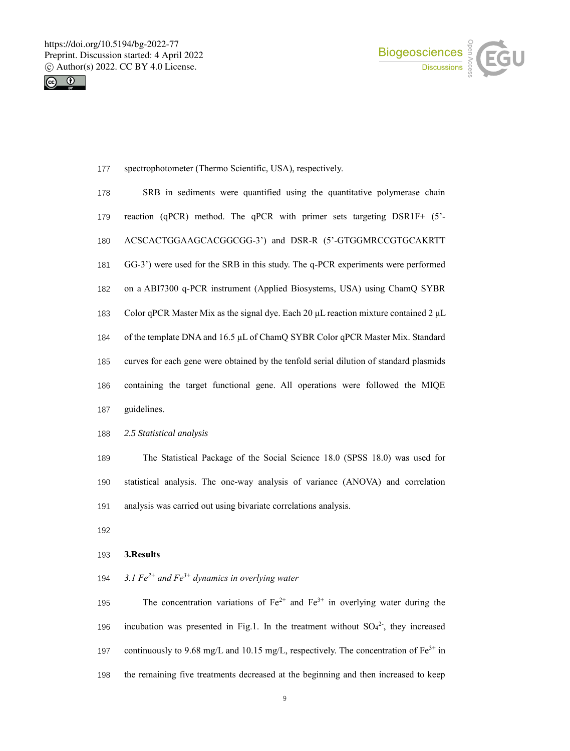



spectrophotometer (Thermo Scientific, USA), respectively.

| 178 | SRB in sediments were quantified using the quantitative polymerase chain                      |
|-----|-----------------------------------------------------------------------------------------------|
| 179 | reaction (qPCR) method. The qPCR with primer sets targeting DSR1F+ (5'-                       |
| 180 | ACSCACTGGAAGCACGGCGG-3') and DSR-R (5'-GTGGMRCCGTGCAKRTT                                      |
| 181 | GG-3') were used for the SRB in this study. The q-PCR experiments were performed              |
| 182 | on a ABI7300 q-PCR instrument (Applied Biosystems, USA) using ChamQ SYBR                      |
| 183 | Color qPCR Master Mix as the signal dye. Each 20 $\mu$ L reaction mixture contained 2 $\mu$ L |
| 184 | of the template DNA and 16.5 µL of ChamQ SYBR Color qPCR Master Mix. Standard                 |
| 185 | curves for each gene were obtained by the tenfold serial dilution of standard plasmids        |
| 186 | containing the target functional gene. All operations were followed the MIQE                  |
| 187 | guidelines.                                                                                   |

*2.5 Statistical analysis*

 The Statistical Package of the Social Science 18.0 (SPSS 18.0) was used for statistical analysis. The one-way analysis of variance (ANOVA) and correlation analysis was carried out using bivariate correlations analysis.

# **3.Results**

*3.1 Fe 2+ and Fe 3+ dynamics in overlying water*

195 The concentration variations of  $Fe^{2+}$  and  $Fe^{3+}$  in overlying water during the 196 incubation was presented in Fig.1. In the treatment without  $SO_4^2$ , they increased 197 continuously to 9.68 mg/L and 10.15 mg/L, respectively. The concentration of  $Fe^{3+}$  in the remaining five treatments decreased at the beginning and then increased to keep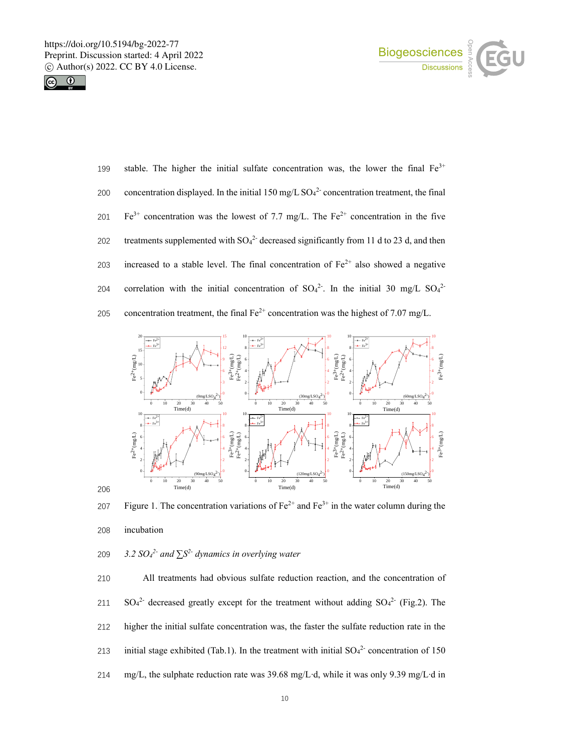



199 stable. The higher the initial sulfate concentration was, the lower the final  $Fe^{3+}$ 200 concentration displayed. In the initial  $150 \text{ mg/L SO4}^2$  concentration treatment, the final 201 Fe<sup>3+</sup> concentration was the lowest of 7.7 mg/L. The Fe<sup>2+</sup> concentration in the five 202 treatments supplemented with  $SO_4^2$ -decreased significantly from 11 d to 23 d, and then 203 increased to a stable level. The final concentration of  $Fe^{2+}$  also showed a negative 204 correlation with the initial concentration of  $SO_4^2$ . In the initial 30 mg/L  $SO_4^2$ 205 concentration treatment, the final  $Fe^{2+}$  concentration was the highest of 7.07 mg/L.



207 Figure 1. The concentration variations of  $Fe^{2+}$  and  $Fe^{3+}$  in the water column during the

incubation

209  $3.2 \text{ } SO_4^2$  and  $\Sigma S^2$  dynamics in overlying water

 All treatments had obvious sulfate reduction reaction, and the concentration of 211 SO<sub>4</sub><sup>2</sup> decreased greatly except for the treatment without adding  $SO_4^{2}$  (Fig.2). The higher the initial sulfate concentration was, the faster the sulfate reduction rate in the 213 initial stage exhibited (Tab.1). In the treatment with initial  $SO_4^2$  concentration of 150 mg/L, the sulphate reduction rate was 39.68 mg/L∙d, while it was only 9.39 mg/L∙d in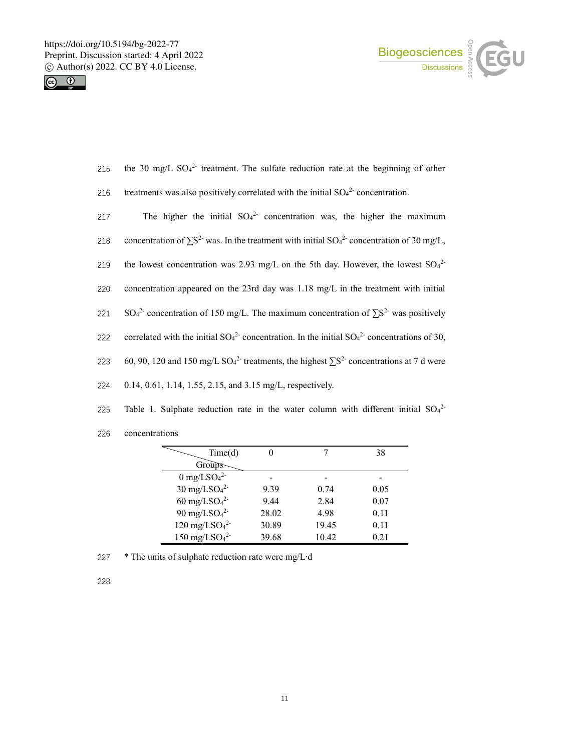



- 215 the 30 mg/L  $SO_4^2$  treatment. The sulfate reduction rate at the beginning of other
- 216 treatments was also positively correlated with the initial  $SO_4^2$  concentration.
- 217 The higher the initial  $SO_4^2$  concentration was, the higher the maximum
- 218 concentration of  $\sum S^2$  was. In the treatment with initial SO<sub>4</sub><sup>2</sup> concentration of 30 mg/L,
- 219 the lowest concentration was 2.93 mg/L on the 5th day. However, the lowest  $SO_4^2$
- 220 concentration appeared on the 23rd day was 1.18 mg/L in the treatment with initial
- 221 SO<sub>4</sub><sup>2</sup> concentration of 150 mg/L. The maximum concentration of  $\sum S^2$  was positively
- 222 correlated with the initial  $SO_4^2$  concentration. In the initial  $SO_4^2$  concentrations of 30,
- 223 60, 90, 120 and 150 mg/L SO<sub>4</sub><sup>2-</sup> treatments, the highest  $\sum S^2$  concentrations at 7 d were
- 224 0.14, 0.61, 1.14, 1.55, 2.15, and 3.15 mg/L, respectively.
- 225 Table 1. Sulphate reduction rate in the water column with different initial  $SO_4^2$
- 226 concentrations

| Time(d)                                 |       |       | 38   |
|-----------------------------------------|-------|-------|------|
| Groups-                                 |       |       |      |
| $0 \text{ mg}/\text{LSO}_4{}^{2-}$      |       |       |      |
| $30 \text{ mg}/\text{LSO}_4{}^{2-}$     | 9.39  | 0.74  | 0.05 |
| $60 \text{ mg}/\text{LSO}_4{}^{2-}$     | 9.44  | 2.84  | 0.07 |
| $90 \text{ mg}/\text{LSO}_4{}^{2-}$     | 28.02 | 4.98  | 0.11 |
| $120 \text{ mg}/\text{LSO}_4{}^{2-}$    | 30.89 | 19.45 | 0.11 |
| $150$ mg/LSO <sub>4</sub> <sup>2-</sup> | 39.68 | 10.42 | 0.21 |

227 \* The units of sulphate reduction rate were mg/L∙d

228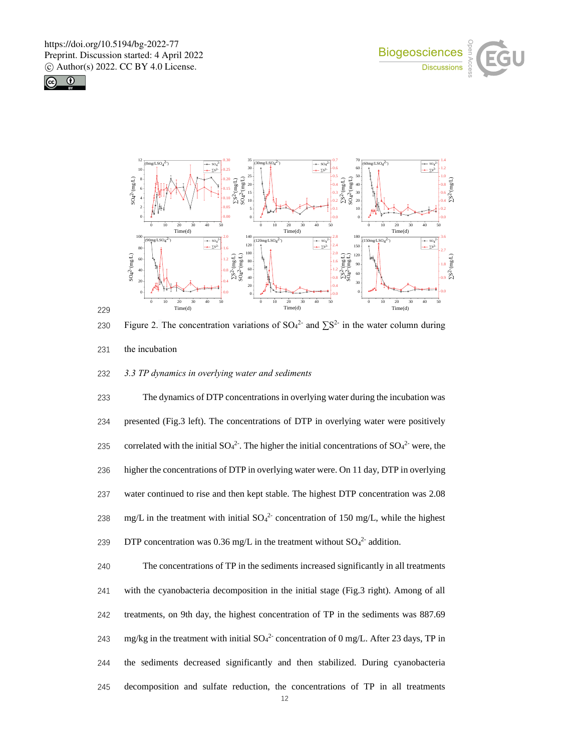





229

230 Figure 2. The concentration variations of SO<sub>4</sub><sup>2-</sup> and  $\sum S^{2-}$  in the water column during 231 the incubation

232 *3.3 TP dynamics in overlying water and sediments*

233 The dynamics of DTP concentrations in overlying water during the incubation was 234 presented (Fig.3 left). The concentrations of DTP in overlying water were positively 235 correlated with the initial  $SO_4^2$ . The higher the initial concentrations of  $SO_4^2$  were, the 236 higher the concentrations of DTP in overlying water were. On 11 day, DTP in overlying 237 water continued to rise and then kept stable. The highest DTP concentration was 2.08 238 mg/L in the treatment with initial  $SO_4^2$  concentration of 150 mg/L, while the highest 239 DTP concentration was 0.36 mg/L in the treatment without  $SO_4^2$  addition.

 The concentrations of TP in the sediments increased significantly in all treatments with the cyanobacteria decomposition in the initial stage (Fig.3 right). Among of all treatments, on 9th day, the highest concentration of TP in the sediments was 887.69 243 mg/kg in the treatment with initial  $SO_4^2$  concentration of 0 mg/L. After 23 days, TP in the sediments decreased significantly and then stabilized. During cyanobacteria decomposition and sulfate reduction, the concentrations of TP in all treatments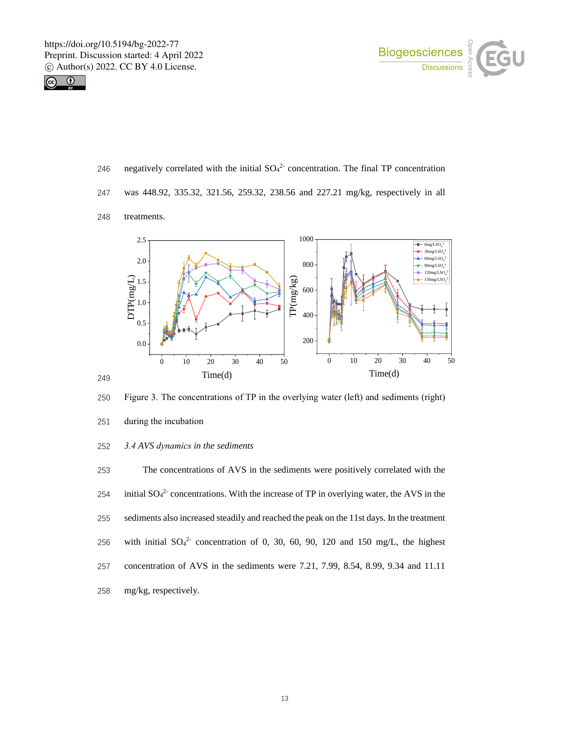



- 246 negatively correlated with the initial  $SO_4^2$  concentration. The final TP concentration
- 247 was 448.92, 335.32, 321.56, 259.32, 238.56 and 227.21 mg/kg, respectively in all
- 248 treatments.



250 Figure 3. The concentrations of TP in the overlying water (left) and sediments (right)

- 251 during the incubation
- 252 *3.4 AVS dynamics in the sediments*

 The concentrations of AVS in the sediments were positively correlated with the 254 initial  $SO_4^2$  concentrations. With the increase of TP in overlying water, the AVS in the sediments also increased steadily and reached the peak on the 11st days. In the treatment 256 with initial  $SO_4^2$  concentration of 0, 30, 60, 90, 120 and 150 mg/L, the highest concentration of AVS in the sediments were 7.21, 7.99, 8.54, 8.99, 9.34 and 11.11 mg/kg, respectively.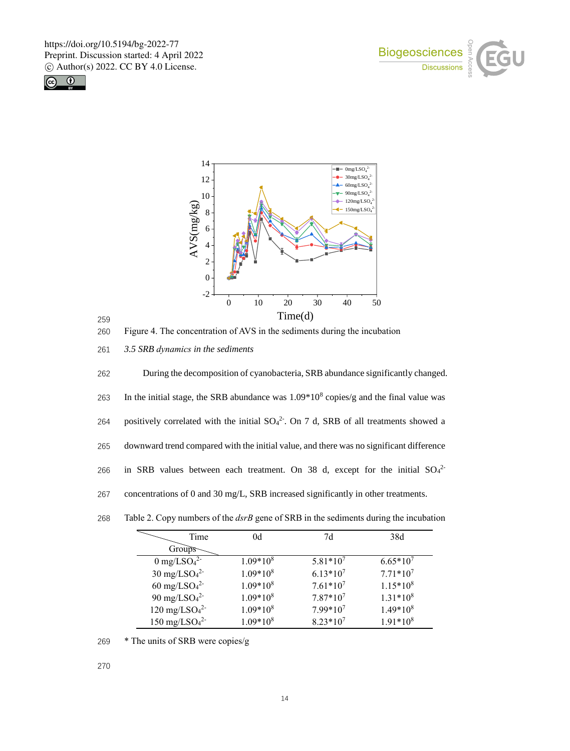







260 Figure 4. The concentration of AVS in the sediments during the incubation

261 *3.5 SRB dynamics in the sediments*

262 During the decomposition of cyanobacteria, SRB abundance significantly changed. 263 In the initial stage, the SRB abundance was  $1.09*10<sup>8</sup>$  copies/g and the final value was 264 positively correlated with the initial  $SO_4^2$ . On 7 d, SRB of all treatments showed a 265 downward trend compared with the initial value, and there was no significant difference 266 in SRB values between each treatment. On 38 d, except for the initial  $SO_4^2$ 267 concentrations of 0 and 30 mg/L, SRB increased significantly in other treatments.

| Time                                 | 0d         | 7d            | 38d           |
|--------------------------------------|------------|---------------|---------------|
| Groups                               |            |               |               |
| $0 \text{ mg}/\text{LSO}_4{}^{2-}$   | $1.09*108$ | $5.81*10^7$   | $6.65*10^{7}$ |
| $30 \text{ mg}/\text{LSO}_4{}^{2-}$  | $1.09*108$ | $6.13*10^{7}$ | $7.71*10^7$   |
| $60 \text{ mg}/\text{LSO}_4{}^{2-}$  | $1.09*108$ | $7.61*10^7$   | $1.15*108$    |
| 90 mg/LSO <sub>4</sub> <sup>2-</sup> | $1.09*108$ | $7.87*10^7$   | $1.31*108$    |
| $120 \text{ mg}/\text{LSO}_4{}^{2-}$ | $1.09*108$ | $7.99*10^7$   | $1.49*108$    |
| $150 \text{ mg}/\text{LSO}_4{}^{2-}$ | $1.09*108$ | $8.23*10^7$   | $1.91*108$    |

268 Table 2. Copy numbers of the *dsrB* gene of SRB in the sediments during the incubation

269 \* The units of SRB were copies/g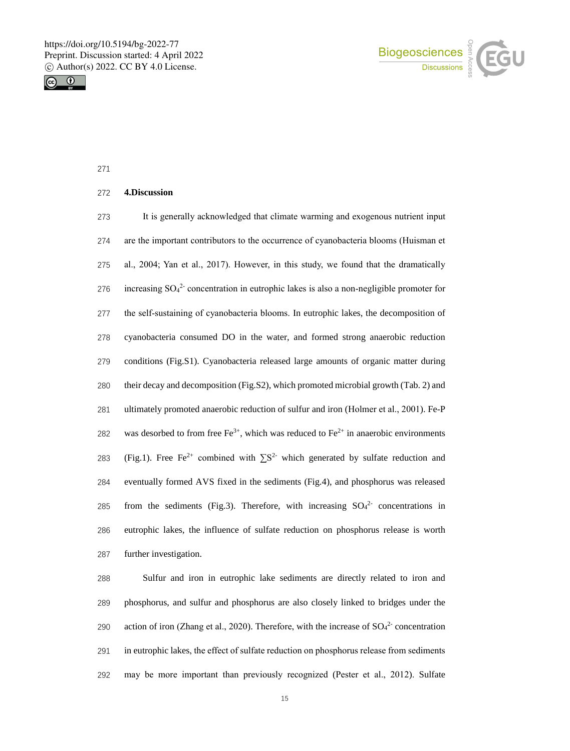



#### **4.Discussion**

 It is generally acknowledged that climate warming and exogenous nutrient input are the important contributors to the occurrence of cyanobacteria blooms (Huisman et al., 2004; Yan et al., 2017). However, in this study, we found that the dramatically 276 increasing  $SO_4^2$  concentration in eutrophic lakes is also a non-negligible promoter for the self-sustaining of cyanobacteria blooms. In eutrophic lakes, the decomposition of cyanobacteria consumed DO in the water, and formed strong anaerobic reduction conditions (Fig.S1). Cyanobacteria released large amounts of organic matter during their decay and decomposition (Fig.S2), which promoted microbial growth (Tab. 2) and ultimately promoted anaerobic reduction of sulfur and iron (Holmer et al., 2001). Fe-P 282 was desorbed to from free  $Fe^{3+}$ , which was reduced to  $Fe^{2+}$  in anaerobic environments 283 (Fig.1). Free Fe<sup>2+</sup> combined with  $\sum S^2$  which generated by sulfate reduction and eventually formed AVS fixed in the sediments (Fig.4), and phosphorus was released 285 from the sediments (Fig.3). Therefore, with increasing  $SO<sub>4</sub><sup>2</sup>$  concentrations in eutrophic lakes, the influence of sulfate reduction on phosphorus release is worth further investigation.

 Sulfur and iron in eutrophic lake sediments are directly related to iron and phosphorus, and sulfur and phosphorus are also closely linked to bridges under the 290 action of iron (Zhang et al., 2020). Therefore, with the increase of  $SO_4^2$  concentration in eutrophic lakes, the effect of sulfate reduction on phosphorus release from sediments may be more important than previously recognized (Pester et al., 2012). Sulfate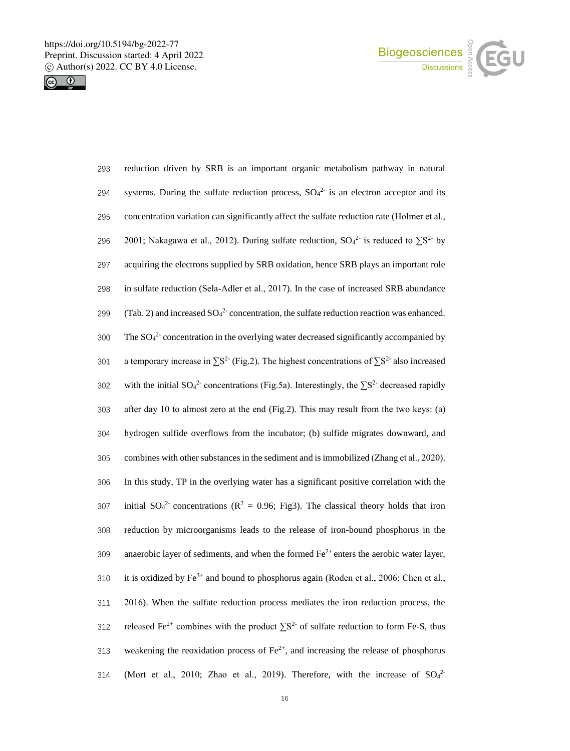



| 293 | reduction driven by SRB is an important organic metabolism pathway in natural                            |
|-----|----------------------------------------------------------------------------------------------------------|
| 294 | systems. During the sulfate reduction process, $SO42$ is an electron acceptor and its                    |
| 295 | concentration variation can significantly affect the sulfate reduction rate (Holmer et al.,              |
| 296 | 2001; Nakagawa et al., 2012). During sulfate reduction, $SO_4^2$ is reduced to $\Sigma S^2$ by           |
| 297 | acquiring the electrons supplied by SRB oxidation, hence SRB plays an important role                     |
| 298 | in sulfate reduction (Sela-Adler et al., 2017). In the case of increased SRB abundance                   |
| 299 | (Tab. 2) and increased $SO_4^2$ concentration, the sulfate reduction reaction was enhanced.              |
| 300 | The $SO_4^2$ concentration in the overlying water decreased significantly accompanied by                 |
| 301 | a temporary increase in $\Sigma S^2$ (Fig.2). The highest concentrations of $\Sigma S^2$ also increased  |
| 302 | with the initial $SO_4^2$ concentrations (Fig.5a). Interestingly, the $\Sigma S^2$ decreased rapidly     |
| 303 | after day 10 to almost zero at the end (Fig.2). This may result from the two keys: (a)                   |
| 304 | hydrogen sulfide overflows from the incubator; (b) sulfide migrates downward, and                        |
| 305 | combines with other substances in the sediment and is immobilized (Zhang et al., 2020).                  |
| 306 | In this study, TP in the overlying water has a significant positive correlation with the                 |
| 307 | initial $SO_4^2$ concentrations ( $R^2 = 0.96$ ; Fig3). The classical theory holds that iron             |
| 308 | reduction by microorganisms leads to the release of iron-bound phosphorus in the                         |
| 309 | anaerobic layer of sediments, and when the formed $Fe^{2+}$ enters the aerobic water layer,              |
| 310 | it is oxidized by $Fe^{3+}$ and bound to phosphorus again (Roden et al., 2006; Chen et al.,              |
| 311 | 2016). When the sulfate reduction process mediates the iron reduction process, the                       |
| 312 | released Fe <sup>2+</sup> combines with the product $\Sigma S^2$ of sulfate reduction to form Fe-S, thus |
| 313 | weakening the reoxidation process of $Fe^{2+}$ , and increasing the release of phosphorus                |
| 314 | (Mort et al., 2010; Zhao et al., 2019). Therefore, with the increase of $SO_4^2$                         |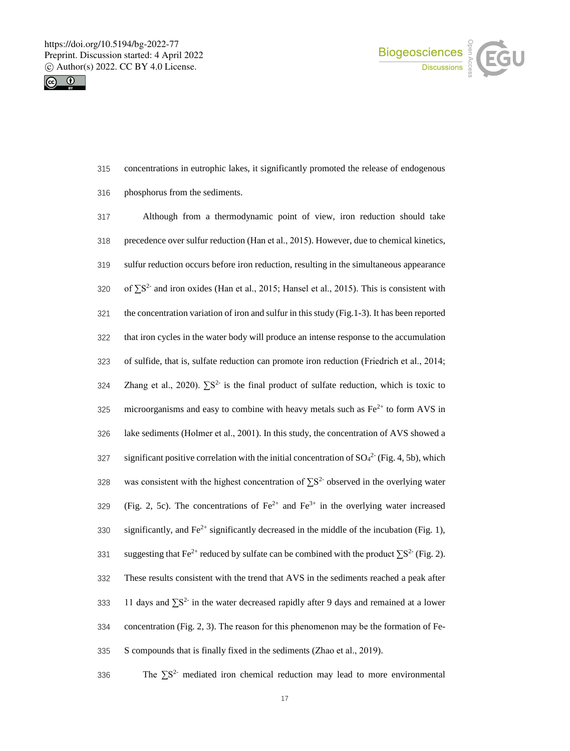



- 315 concentrations in eutrophic lakes, it significantly promoted the release of endogenous
- 316 phosphorus from the sediments.

317 Although from a thermodynamic point of view, iron reduction should take 318 precedence over sulfur reduction (Han et al., 2015). However, due to chemical kinetics, 319 sulfur reduction occurs before iron reduction, resulting in the simultaneous appearance 320 of  $\Sigma S^2$  and iron oxides (Han et al., 2015; Hansel et al., 2015). This is consistent with 321 the concentration variation of iron and sulfur in this study (Fig.1-3). It has been reported 322 that iron cycles in the water body will produce an intense response to the accumulation 323 of sulfide, that is, sulfate reduction can promote iron reduction (Friedrich et al., 2014; 324 Zhang et al., 2020).  $\Sigma S^2$  is the final product of sulfate reduction, which is toxic to 325 microorganisms and easy to combine with heavy metals such as  $Fe<sup>2+</sup>$  to form AVS in 326 lake sediments (Holmer et al., 2001). In this study, the concentration of AVS showed a 327 significant positive correlation with the initial concentration of  $SO_4^2$  (Fig. 4, 5b), which 328 was consistent with the highest concentration of  $\sum S^2$  observed in the overlying water 329 (Fig. 2, 5c). The concentrations of  $Fe^{2+}$  and  $Fe^{3+}$  in the overlying water increased significantly, and  $Fe^{2+}$  significantly decreased in the middle of the incubation (Fig. 1), suggesting that Fe<sup>2+</sup> reduced by sulfate can be combined with the product  $\sum S^{2-}$  (Fig. 2). 332 These results consistent with the trend that AVS in the sediments reached a peak after 333 11 days and  $\sum S^2$  in the water decreased rapidly after 9 days and remained at a lower 334 concentration (Fig. 2, 3). The reason for this phenomenon may be the formation of Fe-335 S compounds that is finally fixed in the sediments (Zhao et al., 2019).

336 25<sup>2-</sup> mediated iron chemical reduction may lead to more environmental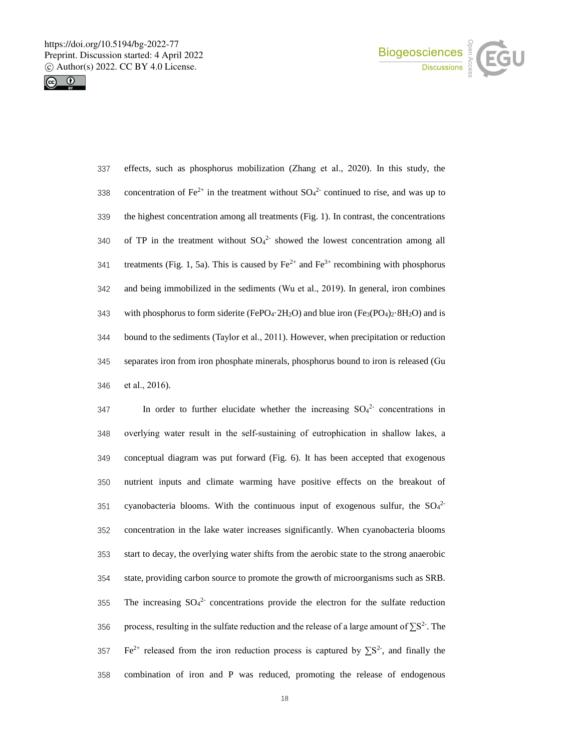



| 337 | effects, such as phosphorus mobilization (Zhang et al., 2020). In this study, the                                                                               |
|-----|-----------------------------------------------------------------------------------------------------------------------------------------------------------------|
| 338 | concentration of Fe <sup>2+</sup> in the treatment without $SO42$ continued to rise, and was up to                                                              |
| 339 | the highest concentration among all treatments (Fig. 1). In contrast, the concentrations                                                                        |
| 340 | of TP in the treatment without $SO_4^2$ showed the lowest concentration among all                                                                               |
| 341 | treatments (Fig. 1, 5a). This is caused by $\text{Fe}^{2+}$ and $\text{Fe}^{3+}$ recombining with phosphorus                                                    |
| 342 | and being immobilized in the sediments (Wu et al., 2019). In general, iron combines                                                                             |
| 343 | with phosphorus to form siderite (FePO <sub>4</sub> 2H <sub>2</sub> O) and blue iron (Fe <sub>3</sub> (PO <sub>4</sub> ) <sub>2</sub> 8H <sub>2</sub> O) and is |
| 344 | bound to the sediments (Taylor et al., 2011). However, when precipitation or reduction                                                                          |
| 345 | separates iron from iron phosphate minerals, phosphorus bound to iron is released (Gu                                                                           |
| 346 | et al., $2016$ ).                                                                                                                                               |

347 In order to further elucidate whether the increasing  $SO_4^2$  concentrations in overlying water result in the self-sustaining of eutrophication in shallow lakes, a conceptual diagram was put forward (Fig. 6). It has been accepted that exogenous nutrient inputs and climate warming have positive effects on the breakout of 351 cyanobacteria blooms. With the continuous input of exogenous sulfur, the  $SO<sub>4</sub><sup>2</sup>$  concentration in the lake water increases significantly. When cyanobacteria blooms start to decay, the overlying water shifts from the aerobic state to the strong anaerobic state, providing carbon source to promote the growth of microorganisms such as SRB. 355 The increasing  $SO_4^2$  concentrations provide the electron for the sulfate reduction 956 process, resulting in the sulfate reduction and the release of a large amount of  $\sum S^2$ . The Fe<sup>2+</sup> released from the iron reduction process is captured by  $\sum S^2$ , and finally the combination of iron and P was reduced, promoting the release of endogenous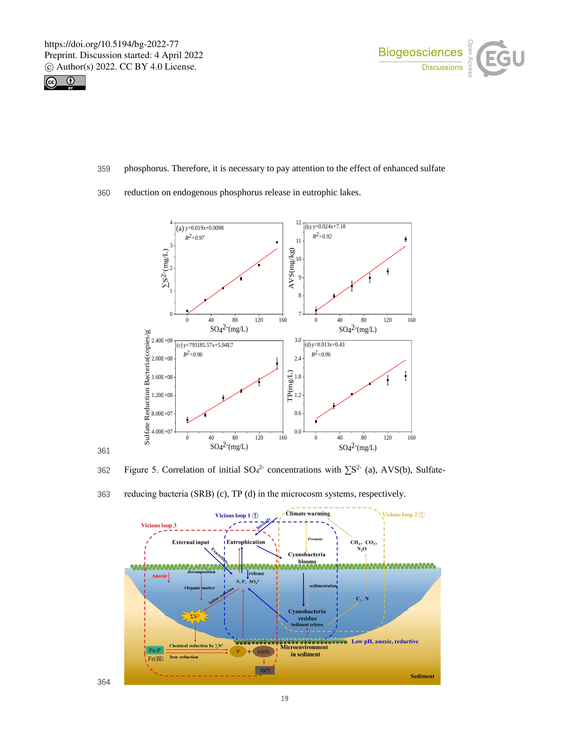



- 359 phosphorus. Therefore, it is necessary to pay attention to the effect of enhanced sulfate
- 360 reduction on endogenous phosphorus release in eutrophic lakes.



361

362 Figure 5. Correlation of initial  $SO_4^2$  concentrations with  $\Sigma S^2$  (a), AVS(b), Sulfate-

363 reducing bacteria (SRB) (c), TP (d) in the microcosm systems, respectively.

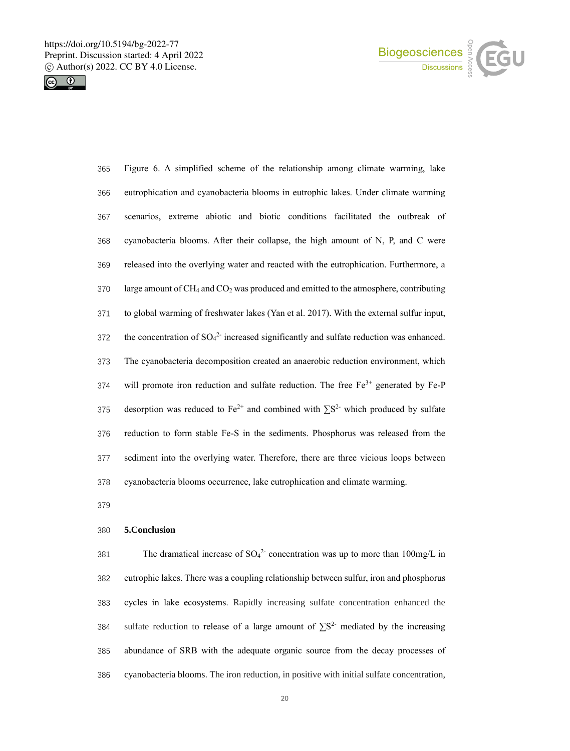



| 365 | Figure 6. A simplified scheme of the relationship among climate warming, lake                                |
|-----|--------------------------------------------------------------------------------------------------------------|
| 366 | eutrophication and cyanobacteria blooms in eutrophic lakes. Under climate warming                            |
| 367 | scenarios, extreme abiotic and biotic conditions facilitated the outbreak of                                 |
| 368 | cyanobacteria blooms. After their collapse, the high amount of N, P, and C were                              |
| 369 | released into the overlying water and reacted with the eutrophication. Furthermore, a                        |
| 370 | large amount of CH <sub>4</sub> and CO <sub>2</sub> was produced and emitted to the atmosphere, contributing |
| 371 | to global warming of freshwater lakes (Yan et al. 2017). With the external sulfur input,                     |
| 372 | the concentration of $SO_4^2$ increased significantly and sulfate reduction was enhanced.                    |
| 373 | The cyanobacteria decomposition created an anaerobic reduction environment, which                            |
| 374 | will promote iron reduction and sulfate reduction. The free Fe <sup>3+</sup> generated by Fe-P               |
| 375 | desorption was reduced to $Fe^{2+}$ and combined with $\Sigma S^2$ which produced by sulfate                 |
| 376 | reduction to form stable Fe-S in the sediments. Phosphorus was released from the                             |
| 377 | sediment into the overlying water. Therefore, there are three vicious loops between                          |
| 378 | cyanobacteria blooms occurrence, lake eutrophication and climate warming.                                    |

# **5.Conclusion**

381 The dramatical increase of  $SO_4^2$  concentration was up to more than 100mg/L in eutrophic lakes. There was a coupling relationship between sulfur, iron and phosphorus cycles in lake ecosystems. Rapidly increasing sulfate concentration enhanced the 384 sulfate reduction to release of a large amount of  $\sum S^2$  mediated by the increasing abundance of SRB with the adequate organic source from the decay processes of cyanobacteria blooms. The iron reduction, in positive with initial sulfate concentration,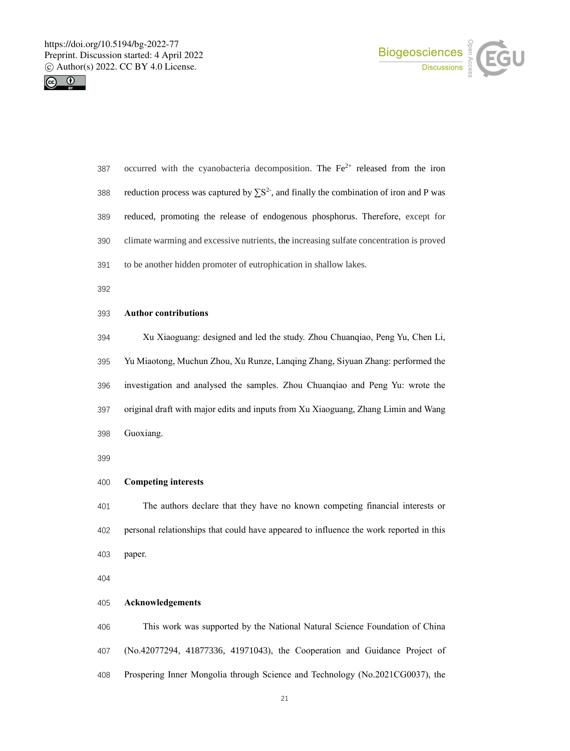



| 387 | occurred with the cyanobacteria decomposition. The $Fe2+$ released from the iron             |
|-----|----------------------------------------------------------------------------------------------|
| 388 | reduction process was captured by $\sum S^2$ , and finally the combination of iron and P was |
| 389 | reduced, promoting the release of endogenous phosphorus. Therefore, except for               |
| 390 | climate warming and excessive nutrients, the increasing sulfate concentration is proved      |
| 391 | to be another hidden promoter of eutrophication in shallow lakes.                            |
| 392 |                                                                                              |

## **Author contributions**

 Xu Xiaoguang: designed and led the study. Zhou Chuanqiao, Peng Yu, Chen Li, Yu Miaotong, Muchun Zhou, Xu Runze, Lanqing Zhang, Siyuan Zhang: performed the investigation and analysed the samples. Zhou Chuanqiao and Peng Yu: wrote the original draft with major edits and inputs from Xu Xiaoguang, Zhang Limin and Wang Guoxiang.

## **Competing interests**

 The authors declare that they have no known competing financial interests or personal relationships that could have appeared to influence the work reported in this paper.

## **Acknowledgements**

 This work was supported by the National Natural Science Foundation of China (No.42077294, 41877336, 41971043), the Cooperation and Guidance Project of Prospering Inner Mongolia through Science and Technology (No.2021CG0037), the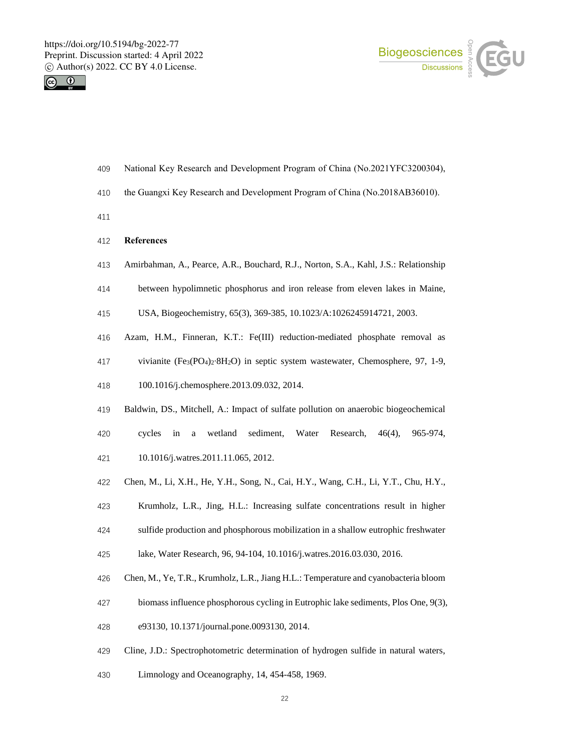



- National Key Research and Development Program of China (No.2021YFC3200304),
- the Guangxi Key Research and Development Program of China (No.2018AB36010).
- 
- **References**
- Amirbahman, A., Pearce, A.R., Bouchard, R.J., Norton, S.A., Kahl, J.S.: Relationship
- between hypolimnetic phosphorus and iron release from eleven lakes in Maine,
- USA, Biogeochemistry, 65(3), 369-385, 10.1023/A:1026245914721, 2003.
- Azam, H.M., Finneran, K.T.: Fe(III) reduction-mediated phosphate removal as
- vivianite (Fe3(PO4)2∙8H2O) in septic system wastewater, Chemosphere, 97, 1-9,
- 100.1016/j.chemosphere.2013.09.032, 2014.
- Baldwin, DS., Mitchell, A.: Impact of sulfate pollution on anaerobic biogeochemical
- cycles in a wetland sediment, Water Research, 46(4), 965-974,
- 10.1016/j.watres.2011.11.065, 2012.
- Chen, M., Li, X.H., He, Y.H., Song, N., Cai, H.Y., Wang, C.H., Li, Y.T., Chu, H.Y.,
- Krumholz, L.R., Jing, H.L.: Increasing sulfate concentrations result in higher
- sulfide production and phosphorous mobilization in a shallow eutrophic freshwater
- lake, Water Research, 96, 94-104, 10.1016/j.watres.2016.03.030, 2016.
- Chen, M., Ye, T.R., Krumholz, L.R., Jiang H.L.: Temperature and cyanobacteria bloom
- biomass influence phosphorous cycling in Eutrophic lake sediments, Plos One, 9(3),
- e93130, 10.1371/journal.pone.0093130, 2014.
- Cline, J.D.: Spectrophotometric determination of hydrogen sulfide in natural waters,
- Limnology and Oceanography, 14, 454-458, 1969.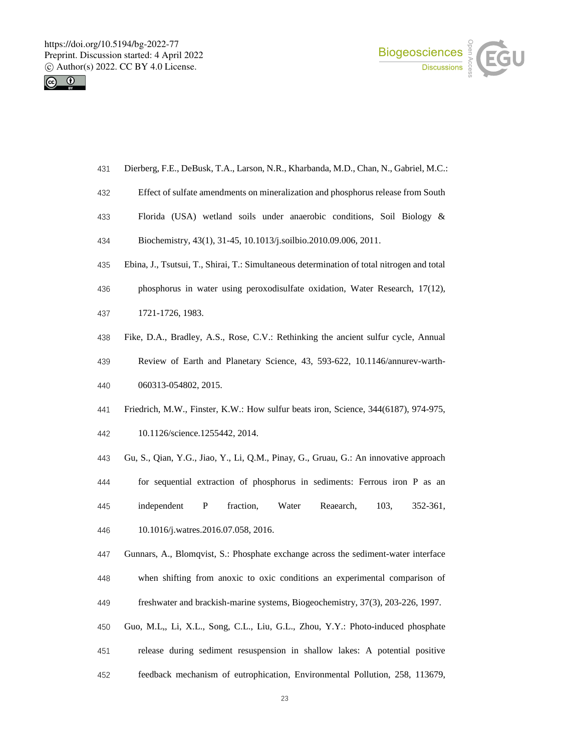



- Dierberg, F.E., DeBusk, T.A., Larson, N.R., Kharbanda, M.D., Chan, N., Gabriel, M.C.:
- Effect of sulfate amendments on mineralization and phosphorus release from South
- Florida (USA) wetland soils under anaerobic conditions, Soil Biology &
- Biochemistry, 43(1), 31-45, 10.1013/j.soilbio.2010.09.006, 2011.
- Ebina, J., Tsutsui, T., Shirai, T.: Simultaneous determination of total nitrogen and total
- phosphorus in water using peroxodisulfate oxidation, Water Research, 17(12),
- 1721-1726, 1983.
- Fike, D.A., Bradley, A.S., Rose, C.V.: Rethinking the ancient sulfur cycle, Annual
- Review of Earth and Planetary Science, 43, 593-622, 10.1146/annurev-warth-060313-054802, 2015.
- Friedrich, M.W., Finster, K.W.: How sulfur beats iron, Science, 344(6187), 974-975,
- 10.1126/science.1255442, 2014.
- Gu, S., Qian, Y.G., Jiao, Y., Li, Q.M., Pinay, G., Gruau, G.: An innovative approach for sequential extraction of phosphorus in sediments: Ferrous iron P as an independent P fraction, Water Reaearch, 103, 352-361, 10.1016/j.watres.2016.07.058, 2016.
- Gunnars, A., Blomqvist, S.: Phosphate exchange across the sediment-water interface when shifting from anoxic to oxic conditions an experimental comparison of freshwater and brackish-marine systems, Biogeochemistry, 37(3), 203-226, 1997.
- Guo, M.L,, Li, X.L., Song, C.L., Liu, G.L., Zhou, Y.Y.: Photo-induced phosphate
- release during sediment resuspension in shallow lakes: A potential positive
- feedback mechanism of eutrophication, Environmental Pollution, 258, 113679,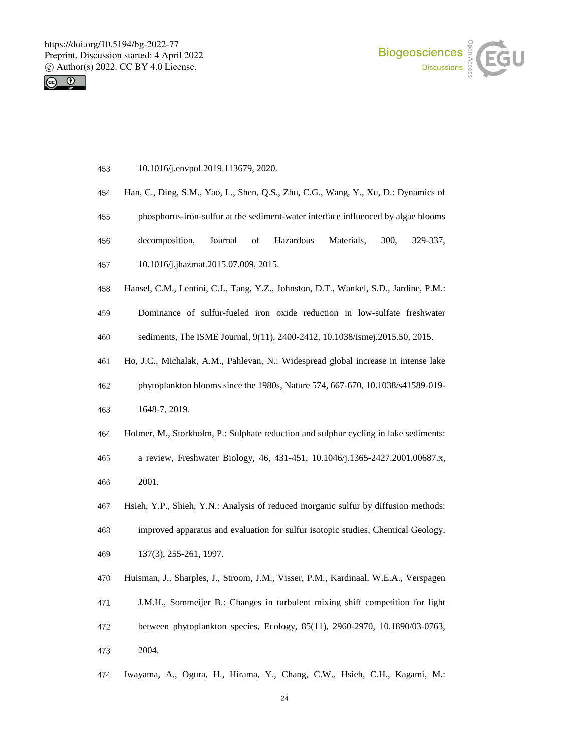



- 10.1016/j.envpol.2019.113679, 2020.
- Han, C., Ding, S.M., Yao, L., Shen, Q.S., Zhu, C.G., Wang, Y., Xu, D.: Dynamics of
- phosphorus-iron-sulfur at the sediment-water interface influenced by algae blooms
- decomposition, Journal of Hazardous Materials, 300, 329-337,
- 10.1016/j.jhazmat.2015.07.009, 2015.
- Hansel, C.M., Lentini, C.J., Tang, Y.Z., Johnston, D.T., Wankel, S.D., Jardine, P.M.:
- Dominance of sulfur-fueled iron oxide reduction in low-sulfate freshwater sediments, The ISME Journal, 9(11), 2400-2412, 10.1038/ismej.2015.50, 2015.
- 
- Ho, J.C., Michalak, A.M., Pahlevan, N.: Widespread global increase in intense lake

phytoplankton blooms since the 1980s, Nature 574, 667-670, 10.1038/s41589-019-

- 1648-7, 2019.
- Holmer, M., Storkholm, P.: Sulphate reduction and sulphur cycling in lake sediments:
- a review, Freshwater Biology, 46, 431-451, 10.1046/j.1365-2427.2001.00687.x,
- 2001.
- Hsieh, Y.P., Shieh, Y.N.: Analysis of reduced inorganic sulfur by diffusion methods:
- improved apparatus and evaluation for sulfur isotopic studies, Chemical Geology,
- 137(3), 255-261, 1997.
- Huisman, J., Sharples, J., Stroom, J.M., Visser, P.M., Kardinaal, W.E.A., Verspagen
- J.M.H., Sommeijer B.: Changes in turbulent mixing shift competition for light
- between phytoplankton species, Ecology, 85(11), 2960-2970, 10.1890/03-0763, 2004.
- Iwayama, A., Ogura, H., Hirama, Y., Chang, C.W., Hsieh, C.H., Kagami, M.: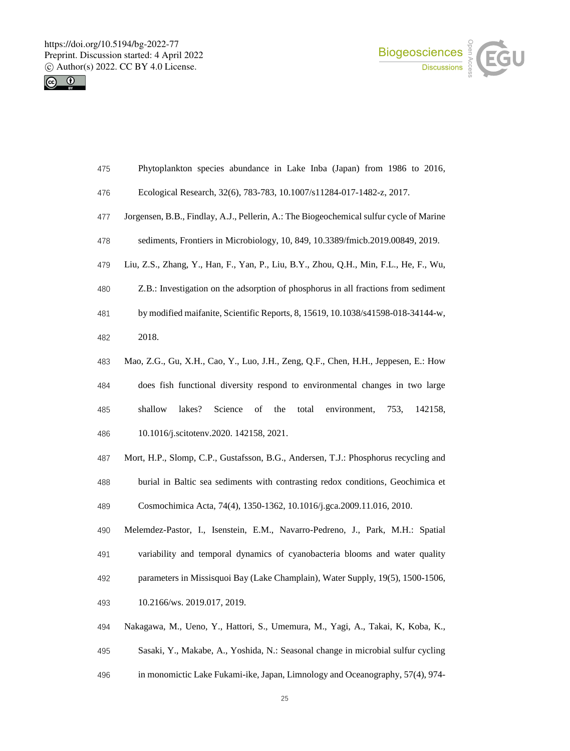



- Phytoplankton species abundance in Lake Inba (Japan) from 1986 to 2016,
- Ecological Research, 32(6), 783-783, 10.1007/s11284-017-1482-z, 2017.
- Jorgensen, B.B., Findlay, A.J., Pellerin, A.: The Biogeochemical sulfur cycle of Marine
- sediments, Frontiers in Microbiology, 10, 849, 10.3389/fmicb.2019.00849, 2019.
- Liu, Z.S., Zhang, Y., Han, F., Yan, P., Liu, B.Y., Zhou, Q.H., Min, F.L., He, F., Wu,
- Z.B.: Investigation on the adsorption of phosphorus in all fractions from sediment
- by modified maifanite, Scientific Reports, 8, 15619, 10.1038/s41598-018-34144-w, 2018.
- Mao, Z.G., Gu, X.H., Cao, Y., Luo, J.H., Zeng, Q.F., Chen, H.H., Jeppesen, E.: How
- does fish functional diversity respond to environmental changes in two large shallow lakes? Science of the total environment, 753, 142158, 10.1016/j.scitotenv.2020. 142158, 2021.
- Mort, H.P., Slomp, C.P., Gustafsson, B.G., Andersen, T.J.: Phosphorus recycling and burial in Baltic sea sediments with contrasting redox conditions, Geochimica et Cosmochimica Acta, 74(4), 1350-1362, 10.1016/j.gca.2009.11.016, 2010.
- Melemdez-Pastor, I., Isenstein, E.M., Navarro-Pedreno, J., Park, M.H.: Spatial variability and temporal dynamics of cyanobacteria blooms and water quality parameters in Missisquoi Bay (Lake Champlain), Water Supply, 19(5), 1500-1506, 10.2166/ws. 2019.017, 2019.
- Nakagawa, M., Ueno, Y., Hattori, S., Umemura, M., Yagi, A., Takai, K, Koba, K.,
- Sasaki, Y., Makabe, A., Yoshida, N.: Seasonal change in microbial sulfur cycling
- in monomictic Lake Fukami-ike, Japan, Limnology and Oceanography, 57(4), 974-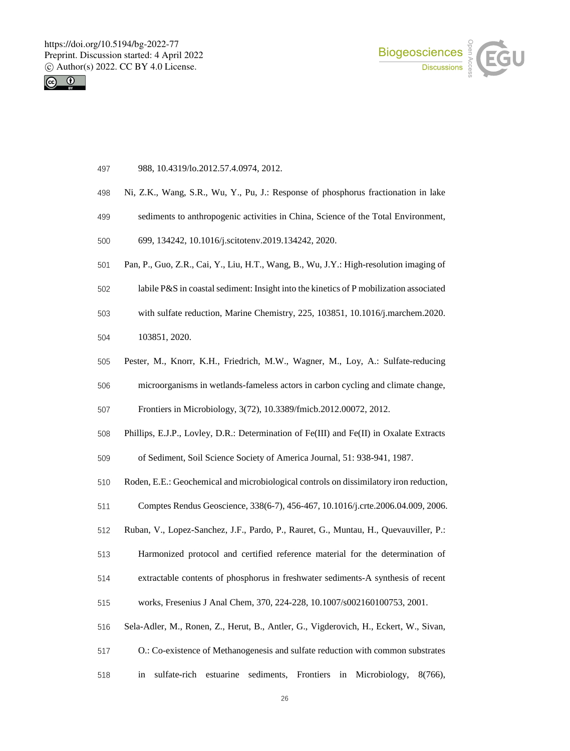



- 988, 10.4319/lo.2012.57.4.0974, 2012.
- Ni, Z.K., Wang, S.R., Wu, Y., Pu, J.: Response of phosphorus fractionation in lake
- sediments to anthropogenic activities in China, Science of the Total Environment,
- 699, 134242, 10.1016/j.scitotenv.2019.134242, 2020.
- Pan, P., Guo, Z.R., Cai, Y., Liu, H.T., Wang, B., Wu, J.Y.: High-resolution imaging of
- labile P&S in coastal sediment: Insight into the kinetics of P mobilization associated
- with sulfate reduction, Marine Chemistry, 225, 103851, 10.1016/j.marchem.2020.
- 103851, 2020.
- Pester, M., Knorr, K.H., Friedrich, M.W., Wagner, M., Loy, A.: Sulfate-reducing
- microorganisms in wetlands-fameless actors in carbon cycling and climate change,

Frontiers in Microbiology, 3(72), 10.3389/fmicb.2012.00072, 2012.

Phillips, E.J.P., Lovley, D.R.: Determination of Fe(III) and Fe(II) in Oxalate Extracts

of Sediment, Soil Science Society of America Journal, 51: 938-941, 1987.

- Roden, E.E.: Geochemical and microbiological controls on dissimilatory iron reduction,
- Comptes Rendus Geoscience, 338(6-7), 456-467, 10.1016/j.crte.2006.04.009, 2006.
- Ruban, V., Lopez-Sanchez, J.F., Pardo, P., Rauret, G., Muntau, H., Quevauviller, P.:
- Harmonized protocol and certified reference material for the determination of
- extractable contents of phosphorus in freshwater sediments-A synthesis of recent
- works, Fresenius J Anal Chem, 370, 224-228, 10.1007/s002160100753, 2001.
- Sela-Adler, M., Ronen, Z., Herut, B., Antler, G., Vigderovich, H., Eckert, W., Sivan,
- O.: Co-existence of Methanogenesis and sulfate reduction with common substrates
- in sulfate-rich estuarine sediments, Frontiers in Microbiology, 8(766),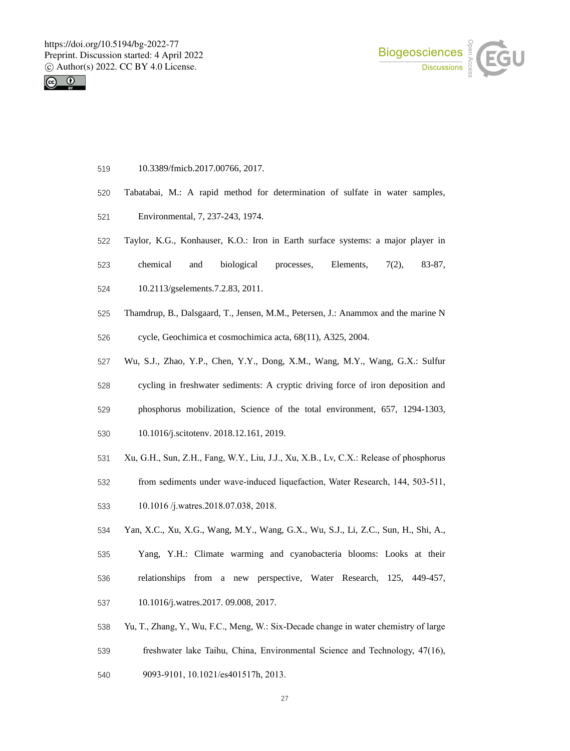



- 10.3389/fmicb.2017.00766, 2017.
- Tabatabai, M.: A rapid method for determination of sulfate in water samples,
- Environmental, 7, 237-243, 1974.
- Taylor, K.G., Konhauser, K.O.: Iron in Earth surface systems: a major player in
- chemical and biological processes, Elements, 7(2), 83-87,
- 10.2113/gselements.7.2.83, 2011.
- Thamdrup, B., Dalsgaard, T., Jensen, M.M., Petersen, J.: Anammox and the marine N
- cycle, Geochimica et cosmochimica acta, 68(11), A325, 2004.
- Wu, S.J., Zhao, Y.P., Chen, Y.Y., Dong, X.M., Wang, M.Y., Wang, G.X.: Sulfur
- cycling in freshwater sediments: A cryptic driving force of iron deposition and
- phosphorus mobilization, Science of the total environment, 657, 1294-1303,
- 10.1016/j.scitotenv. 2018.12.161, 2019.
- Xu, G.H., Sun, Z.H., Fang, W.Y., Liu, J.J., Xu, X.B., Lv, C.X.: Release of phosphorus
- from sediments under wave-induced liquefaction, Water Research, 144, 503-511,
- 10.1016 /j.watres.2018.07.038, 2018.
- Yan, X.C., Xu, X.G., Wang, M.Y., Wang, G.X., Wu, S.J., Li, Z.C., Sun, H., Shi, A.,
- Yang, Y.H.: Climate warming and cyanobacteria blooms: Looks at their relationships from a new perspective, Water Research, 125, 449-457, 10.1016/j.watres.2017. 09.008, 2017.
- Yu, T., Zhang, Y., Wu, F.C., Meng, W.: Six-Decade change in water chemistry of large
- freshwater lake Taihu, China, Environmental Science and Technology, 47(16),
- 9093-9101, 10.1021/es401517h, 2013.